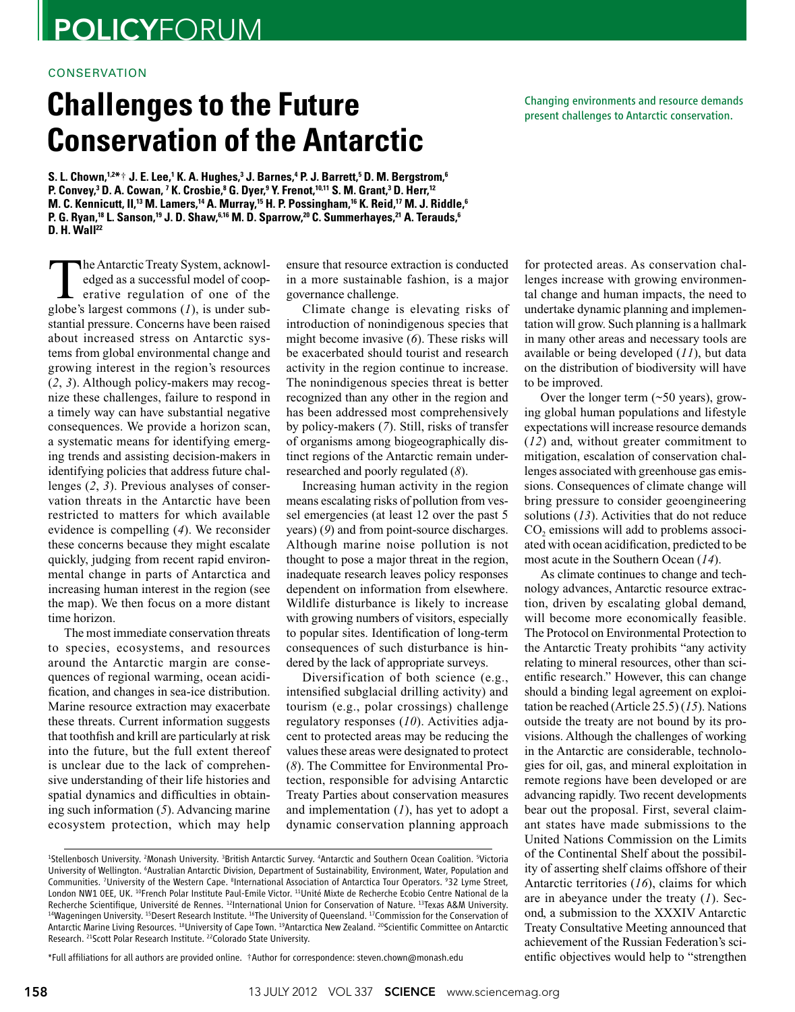# **POLICYFORUM**

### conservation

## **Challenges to the Future Conservation of the Antarctic**

S. L. Chown, $^{12\textcolor{blue}{*}}$ † J. E. Lee, $^1$ K. A. Hughes, $^3$  J. Barnes, $^4$  P. J. Barrett, $^5$  D. M. Bergstrom, $^6$ P. Convey,<sup>3</sup> D. A. Cowan, <sup>7</sup> K. Crosbie,<sup>8</sup> G. Dyer,<sup>9</sup> Y. Frenot,<sup>10,11</sup> S. M. Grant,<sup>3</sup> D. Herr,<sup>12</sup> M. C. Kennicutt, II,<sup>13</sup> M. Lamers,<sup>14</sup> A. Murray,<sup>15</sup> H. P. Possingham,<sup>16</sup> K. Reid,<sup>17</sup> M. J. Riddle,<sup>6</sup> **P. G. Ryan, <sup>18</sup> L. Sanson, <sup>19</sup> J. D. Shaw, 6,16 M. D. Sparrow, <sup>20</sup> C. Summerhayes, <sup>21</sup> A. Terauds, 6 D. H. Wall22**

The Antarctic Treaty System, acknowledged as a successful model of cooperative regulation of one of the close is largest commons (1) is under subedged as a successful model of coopglobe's largest commons (*1*), is under substantial pressure. Concerns have been raised about increased stress on Antarctic systems from global environmental change and growing interest in the region's resources (*2*, *3*). Although policy-makers may recognize these challenges, failure to respond in a timely way can have substantial negative consequences. We provide a horizon scan, a systematic means for identifying emerging trends and assisting decision-makers in identifying policies that address future challenges (*2*, *3*). Previous analyses of conservation threats in the Antarctic have been restricted to matters for which available evidence is compelling (*4*). We reconsider these concerns because they might escalate quickly, judging from recent rapid environmental change in parts of Antarctica and increasing human interest in the region (see the map). We then focus on a more distant time horizon.

The most immediate conservation threats to species, ecosystems, and resources around the Antarctic margin are consequences of regional warming, ocean acidification, and changes in sea-ice distribution. Marine resource extraction may exacerbate these threats. Current information suggests that toothfish and krill are particularly at risk into the future, but the full extent thereof is unclear due to the lack of comprehensive understanding of their life histories and spatial dynamics and difficulties in obtaining such information (*5*). Advancing marine ecosystem protection, which may help

ensure that resource extraction is conducted in a more sustainable fashion, is a major governance challenge.

Climate change is elevating risks of introduction of nonindigenous species that might become invasive (*6*). These risks will be exacerbated should tourist and research activity in the region continue to increase. The nonindigenous species threat is better recognized than any other in the region and has been addressed most comprehensively by policy-makers (*7*). Still, risks of transfer of organisms among biogeographically distinct regions of the Antarctic remain underresearched and poorly regulated (*8*).

Increasing human activity in the region means escalating risks of pollution from vessel emergencies (at least 12 over the past 5 years) (*9*) and from point-source discharges. Although marine noise pollution is not thought to pose a major threat in the region, inadequate research leaves policy responses dependent on information from elsewhere. Wildlife disturbance is likely to increase with growing numbers of visitors, especially to popular sites. Identification of long-term consequences of such disturbance is hindered by the lack of appropriate surveys.

Diversification of both science (e.g., intensified subglacial drilling activity) and tourism (e.g., polar crossings) challenge regulatory responses (*10*). Activities adjacent to protected areas may be reducing the values these areas were designated to protect (*8*). The Committee for Environmental Protection, responsible for advising Antarctic Treaty Parties about conservation measures and implementation (*1*), has yet to adopt a dynamic conservation planning approach

\*Full affiliations for all authors are provided online. †Author for correspondence: steven.chown@monash.edu

Changing environments and resource demands present challenges to Antarctic conservation.

for protected areas. As conservation challenges increase with growing environmental change and human impacts, the need to undertake dynamic planning and implementation will grow. Such planning is a hallmark in many other areas and necessary tools are available or being developed (*11*), but data on the distribution of biodiversity will have to be improved.

Over the longer term  $(\sim 50 \text{ years})$ , growing global human populations and lifestyle expectations will increase resource demands (*12*) and, without greater commitment to mitigation, escalation of conservation challenges associated with greenhouse gas emissions. Consequences of climate change will bring pressure to consider geoengineering solutions (*13*). Activities that do not reduce CO<sub>2</sub> emissions will add to problems associated with ocean acidification, predicted to be most acute in the Southern Ocean (*14*).

As climate continues to change and technology advances, Antarctic resource extraction, driven by escalating global demand, will become more economically feasible. The Protocol on Environmental Protection to the Antarctic Treaty prohibits "any activity relating to mineral resources, other than scientific research." However, this can change should a binding legal agreement on exploitation be reached (Article 25.5) (*15*). Nations outside the treaty are not bound by its provisions. Although the challenges of working in the Antarctic are considerable, technologies for oil, gas, and mineral exploitation in remote regions have been developed or are advancing rapidly. Two recent developments bear out the proposal. First, several claimant states have made submissions to the United Nations Commission on the Limits of the Continental Shelf about the possibility of asserting shelf claims offshore of their Antarctic territories (*16*), claims for which are in abeyance under the treaty (*1*). Second, a submission to the XXXIV Antarctic Treaty Consultative Meeting announced that achievement of the Russian Federation's scientific objectives would help to "strengthen

<sup>&</sup>lt;sup>1</sup>Stellenbosch University. <sup>2</sup>Monash University. <sup>3</sup>British Antarctic Survey. <sup>4</sup>Antarctic and Southern Ocean Coalition. <sup>5</sup>Victoria University of Wellington. <sup>6</sup>Australian Antarctic Division, Department of Sustainability, Environment, Water, Population and Communities. <sup>7</sup>University of the Western Cape. <sup>8</sup>International Association of Antarctica Tour Operators. <sup>9</sup>32 Lyme Street, London NW1 OEE, UK. <sup>10</sup>French Polar Institute Paul-Emile Victor. <sup>11</sup>Unité Mixte de Recherche Ecobio Centre National de la Recherche Scientifique, Université de Rennes. <sup>12</sup>International Union for Conservation of Nature. <sup>13</sup>Texas A&M University. <sup>14</sup>Wageningen University. <sup>15</sup>Desert Research Institute. <sup>16</sup>The University of Queensland. <sup>17</sup>Commission for the Conservation of Antarctic Marine Living Resources. 18University of Cape Town. 19Antarctica New Zealand. 20Scientific Committee on Antarctic Research. <sup>21</sup>Scott Polar Research Institute. <sup>22</sup>Colorado State University.